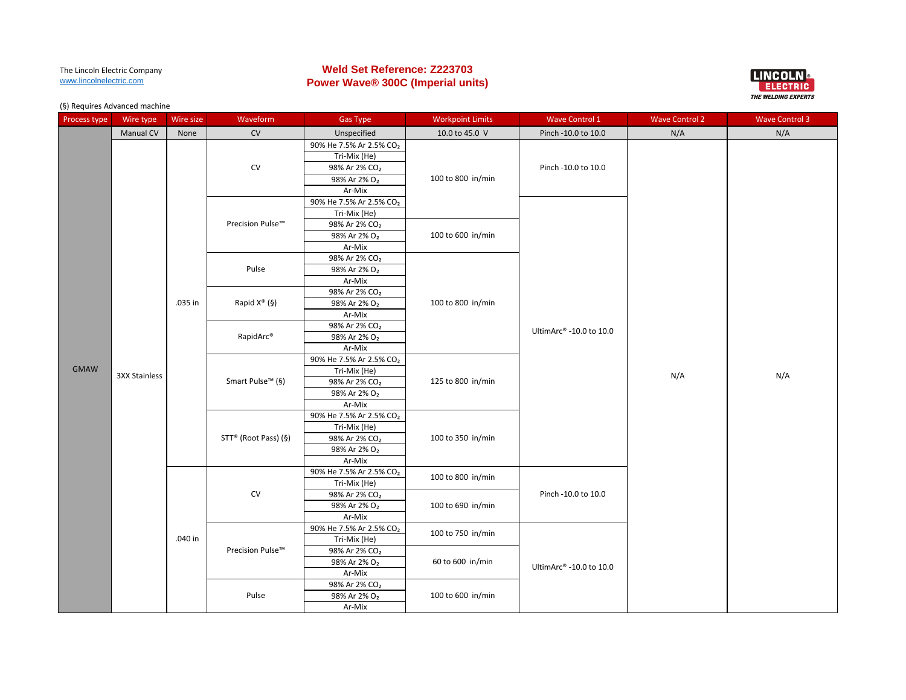# **Weld Set Reference: Z223703 Power Wave® 300C (Imperial units)**



| Process type | Wire type            | Wire size | Waveform                     | <b>Gas Type</b>                     | <b>Workpoint Limits</b> | <b>Wave Control 1</b>   | <b>Wave Control 2</b> | <b>Wave Control 3</b> |
|--------------|----------------------|-----------|------------------------------|-------------------------------------|-------------------------|-------------------------|-----------------------|-----------------------|
|              | <b>Manual CV</b>     | None      | CV                           | Unspecified                         | 10.0 to 45.0 V          | Pinch -10.0 to 10.0     | N/A                   | N/A                   |
|              |                      |           |                              | 90% He 7.5% Ar 2.5% CO2             |                         |                         |                       |                       |
|              |                      |           |                              | Tri-Mix (He)                        |                         |                         |                       |                       |
|              |                      |           | CV                           | 98% Ar 2% CO <sub>2</sub>           |                         | Pinch -10.0 to 10.0     |                       |                       |
|              |                      |           |                              | 98% Ar 2% O <sub>2</sub>            | 100 to 800 in/min       |                         |                       |                       |
|              |                      |           |                              | Ar-Mix                              |                         |                         |                       |                       |
|              |                      |           |                              | 90% He 7.5% Ar 2.5% CO2             |                         |                         |                       |                       |
|              |                      |           |                              | Tri-Mix (He)                        |                         |                         |                       |                       |
|              |                      |           | Precision Pulse™             | 98% Ar 2% CO <sub>2</sub>           |                         |                         |                       |                       |
|              |                      |           |                              | 98% Ar 2% O <sub>2</sub>            | 100 to 600 in/min       |                         |                       |                       |
|              |                      |           |                              | Ar-Mix                              |                         |                         |                       |                       |
|              |                      |           |                              | 98% Ar 2% CO <sub>2</sub>           |                         |                         |                       |                       |
|              |                      |           | Pulse                        | 98% Ar 2% O <sub>2</sub>            |                         |                         |                       |                       |
|              |                      |           |                              | Ar-Mix                              |                         |                         |                       |                       |
|              |                      |           |                              | 98% Ar 2% CO <sub>2</sub>           |                         |                         |                       |                       |
|              |                      | .035 in   | Rapid $X^{\circledast}$ (§)  | 98% Ar 2% O <sub>2</sub>            | 100 to 800 in/min       |                         |                       |                       |
|              |                      |           |                              | Ar-Mix                              |                         |                         |                       |                       |
|              |                      |           | RapidArc®                    | 98% Ar 2% CO <sub>2</sub>           |                         | UltimArc® -10.0 to 10.0 | N/A                   | N/A                   |
|              |                      |           |                              | 98% Ar 2% O <sub>2</sub>            |                         |                         |                       |                       |
|              |                      |           |                              | Ar-Mix                              |                         |                         |                       |                       |
|              |                      |           | Smart Pulse <sup>™</sup> (§) | 90% He 7.5% Ar 2.5% CO2             | 125 to 800 in/min       |                         |                       |                       |
| <b>GMAW</b>  | <b>3XX Stainless</b> |           |                              | Tri-Mix (He)                        |                         |                         |                       |                       |
|              |                      |           |                              | 98% Ar 2% CO <sub>2</sub>           |                         |                         |                       |                       |
|              |                      |           |                              | 98% Ar 2% O <sub>2</sub>            |                         |                         |                       |                       |
|              |                      |           |                              | Ar-Mix                              |                         |                         |                       |                       |
|              |                      |           | STT® (Root Pass) (§)         | 90% He 7.5% Ar 2.5% CO2             |                         |                         |                       |                       |
|              |                      |           |                              | Tri-Mix (He)                        |                         |                         |                       |                       |
|              |                      |           |                              | 98% Ar 2% CO <sub>2</sub>           | 100 to 350 in/min       |                         |                       |                       |
|              |                      |           |                              | 98% Ar 2% O <sub>2</sub>            |                         |                         |                       |                       |
|              |                      |           |                              | Ar-Mix                              |                         |                         |                       |                       |
|              |                      |           |                              | 90% He 7.5% Ar 2.5% CO <sub>2</sub> | 100 to 800 in/min       |                         |                       |                       |
|              |                      |           |                              | Tri-Mix (He)                        |                         |                         |                       |                       |
|              |                      |           | ${\sf CV}$                   | 98% Ar 2% CO <sub>2</sub>           |                         | Pinch -10.0 to 10.0     |                       |                       |
|              |                      |           |                              | 98% Ar 2% O <sub>2</sub>            | 100 to 690 in/min       |                         |                       |                       |
|              |                      |           |                              | Ar-Mix                              |                         |                         |                       |                       |
|              |                      |           |                              | 90% He 7.5% Ar 2.5% CO2             | 100 to 750 in/min       |                         |                       |                       |
|              |                      | .040 in   |                              | Tri-Mix (He)                        |                         |                         |                       |                       |
|              |                      |           | Precision Pulse™             | 98% Ar 2% CO <sub>2</sub>           |                         |                         |                       |                       |
|              |                      |           |                              | 98% Ar 2% O <sub>2</sub>            | 60 to 600 in/min        | UltimArc® -10.0 to 10.0 |                       |                       |
|              |                      |           |                              | Ar-Mix                              |                         |                         |                       |                       |
|              |                      |           |                              | 98% Ar 2% CO <sub>2</sub>           |                         |                         |                       |                       |
|              |                      |           | Pulse                        | 98% Ar 2% O <sub>2</sub>            | 100 to 600 in/min       |                         |                       |                       |
|              |                      |           |                              | Ar-Mix                              |                         |                         |                       |                       |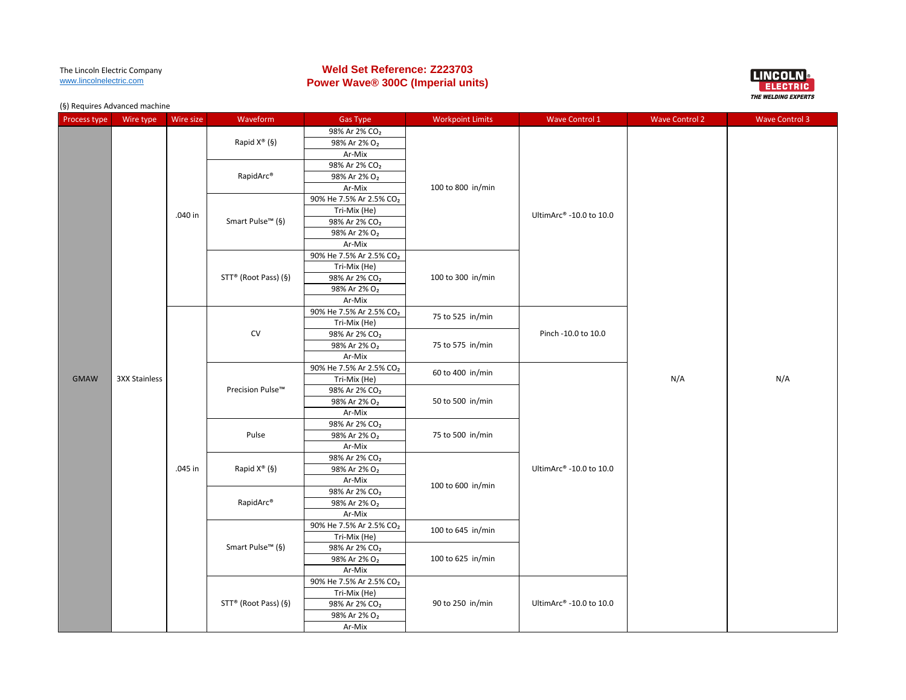# **Weld Set Reference: Z223703 Power Wave® 300C (Imperial units)**



| Process type | $(3)$ . $24$ and $30$ and $24$ and $30$ and $30$ and $30$<br>Wire type | Wire size                                                                                                                                                                                                                                      | Waveform                         | <b>Gas Type</b>                                       | <b>Workpoint Limits</b> | <b>Wave Control 1</b>   | <b>Wave Control 2</b> | <b>Wave Control 3</b> |
|--------------|------------------------------------------------------------------------|------------------------------------------------------------------------------------------------------------------------------------------------------------------------------------------------------------------------------------------------|----------------------------------|-------------------------------------------------------|-------------------------|-------------------------|-----------------------|-----------------------|
|              |                                                                        |                                                                                                                                                                                                                                                |                                  | 98% Ar 2% CO <sub>2</sub>                             |                         |                         |                       |                       |
|              |                                                                        | Rapid $X^{\circledast}$ (§)                                                                                                                                                                                                                    | 98% Ar 2% O <sub>2</sub>         |                                                       |                         |                         |                       |                       |
|              |                                                                        |                                                                                                                                                                                                                                                |                                  | Ar-Mix                                                |                         |                         |                       |                       |
|              |                                                                        |                                                                                                                                                                                                                                                |                                  | 98% Ar 2% CO <sub>2</sub>                             |                         |                         |                       |                       |
|              |                                                                        |                                                                                                                                                                                                                                                | RapidArc®                        | 98% Ar 2% O <sub>2</sub>                              |                         |                         |                       |                       |
|              |                                                                        |                                                                                                                                                                                                                                                |                                  | Ar-Mix                                                | 100 to 800 in/min       |                         |                       |                       |
|              |                                                                        |                                                                                                                                                                                                                                                |                                  | 90% He 7.5% Ar 2.5% CO <sub>2</sub>                   |                         |                         |                       |                       |
|              |                                                                        | .040 in                                                                                                                                                                                                                                        |                                  | Tri-Mix (He)                                          |                         | UltimArc® -10.0 to 10.0 |                       |                       |
|              |                                                                        |                                                                                                                                                                                                                                                | Smart Pulse™ (§)                 | 98% Ar 2% CO <sub>2</sub>                             |                         |                         |                       |                       |
|              |                                                                        |                                                                                                                                                                                                                                                |                                  | 98% Ar 2% O <sub>2</sub>                              |                         |                         |                       |                       |
|              |                                                                        |                                                                                                                                                                                                                                                |                                  | Ar-Mix                                                |                         |                         |                       |                       |
|              |                                                                        |                                                                                                                                                                                                                                                |                                  | 90% He 7.5% Ar 2.5% CO <sub>2</sub>                   |                         |                         |                       |                       |
|              |                                                                        |                                                                                                                                                                                                                                                |                                  | Tri-Mix (He)                                          |                         |                         |                       |                       |
|              |                                                                        |                                                                                                                                                                                                                                                | STT <sup>®</sup> (Root Pass) (§) | 98% Ar 2% CO <sub>2</sub>                             | 100 to 300 in/min       |                         |                       |                       |
|              |                                                                        |                                                                                                                                                                                                                                                |                                  | 98% Ar 2% O <sub>2</sub>                              |                         |                         |                       |                       |
|              |                                                                        |                                                                                                                                                                                                                                                |                                  | Ar-Mix                                                |                         |                         |                       |                       |
|              |                                                                        |                                                                                                                                                                                                                                                | ${\sf CV}$                       | 90% He 7.5% Ar 2.5% CO <sub>2</sub>                   | 75 to 525 in/min        | Pinch -10.0 to 10.0     |                       |                       |
|              |                                                                        |                                                                                                                                                                                                                                                |                                  | Tri-Mix (He)                                          |                         |                         |                       |                       |
|              |                                                                        |                                                                                                                                                                                                                                                |                                  | 98% Ar 2% CO <sub>2</sub>                             |                         |                         |                       |                       |
|              |                                                                        |                                                                                                                                                                                                                                                |                                  | 98% Ar 2% O <sub>2</sub>                              | 75 to 575 in/min        |                         |                       |                       |
|              |                                                                        | Ar-Mix<br>90% He 7.5% Ar 2.5% CO <sub>2</sub><br><b>3XX Stainless</b><br>Tri-Mix (He)<br>Precision Pulse™<br>98% Ar 2% CO <sub>2</sub><br>98% Ar 2% O <sub>2</sub><br>Ar-Mix<br>98% Ar 2% CO <sub>2</sub><br>Pulse<br>98% Ar 2% O <sub>2</sub> |                                  |                                                       |                         |                         |                       |                       |
|              |                                                                        |                                                                                                                                                                                                                                                |                                  |                                                       | 60 to 400 in/min        |                         | N/A                   | N/A                   |
| <b>GMAW</b>  |                                                                        |                                                                                                                                                                                                                                                |                                  |                                                       |                         |                         |                       |                       |
|              |                                                                        |                                                                                                                                                                                                                                                |                                  |                                                       | 50 to 500 in/min        |                         |                       |                       |
|              |                                                                        |                                                                                                                                                                                                                                                |                                  |                                                       |                         |                         |                       |                       |
|              |                                                                        |                                                                                                                                                                                                                                                |                                  |                                                       |                         |                         |                       |                       |
|              |                                                                        |                                                                                                                                                                                                                                                |                                  |                                                       | 75 to 500 in/min        |                         |                       |                       |
|              |                                                                        |                                                                                                                                                                                                                                                |                                  |                                                       |                         |                         |                       |                       |
|              |                                                                        |                                                                                                                                                                                                                                                |                                  | Ar-Mix                                                |                         |                         |                       |                       |
|              |                                                                        |                                                                                                                                                                                                                                                |                                  | 98% Ar 2% CO <sub>2</sub>                             |                         |                         |                       |                       |
|              |                                                                        | .045 in                                                                                                                                                                                                                                        | Rapid $X^{\circ}(\S)$            | 98% Ar 2% O <sub>2</sub>                              |                         | UltimArc® -10.0 to 10.0 |                       |                       |
|              |                                                                        |                                                                                                                                                                                                                                                |                                  | Ar-Mix                                                | 100 to 600 in/min       |                         |                       |                       |
|              |                                                                        |                                                                                                                                                                                                                                                | RapidArc®                        | 98% Ar 2% CO <sub>2</sub><br>98% Ar 2% O <sub>2</sub> |                         |                         |                       |                       |
|              |                                                                        |                                                                                                                                                                                                                                                |                                  | Ar-Mix                                                |                         |                         |                       |                       |
|              |                                                                        |                                                                                                                                                                                                                                                |                                  | 90% He 7.5% Ar 2.5% CO <sub>2</sub>                   |                         |                         |                       |                       |
|              |                                                                        |                                                                                                                                                                                                                                                |                                  | Tri-Mix (He)                                          | 100 to 645 in/min       |                         |                       |                       |
|              |                                                                        |                                                                                                                                                                                                                                                | Smart Pulse <sup>™</sup> (§)     | 98% Ar 2% CO <sub>2</sub>                             |                         |                         |                       |                       |
|              |                                                                        |                                                                                                                                                                                                                                                |                                  | 98% Ar 2% O <sub>2</sub>                              | 100 to 625 in/min       |                         |                       |                       |
|              |                                                                        |                                                                                                                                                                                                                                                |                                  | Ar-Mix                                                |                         |                         |                       |                       |
|              |                                                                        |                                                                                                                                                                                                                                                |                                  | 90% He 7.5% Ar 2.5% CO <sub>2</sub>                   |                         |                         |                       |                       |
|              |                                                                        |                                                                                                                                                                                                                                                |                                  | Tri-Mix (He)                                          |                         |                         |                       |                       |
|              |                                                                        |                                                                                                                                                                                                                                                | STT® (Root Pass) (§)             | 98% Ar 2% CO <sub>2</sub>                             | 90 to 250 in/min        | UltimArc® -10.0 to 10.0 |                       |                       |
|              |                                                                        |                                                                                                                                                                                                                                                |                                  | 98% Ar 2% O <sub>2</sub>                              |                         |                         |                       |                       |
|              |                                                                        |                                                                                                                                                                                                                                                |                                  | Ar-Mix                                                |                         |                         |                       |                       |
|              |                                                                        |                                                                                                                                                                                                                                                |                                  |                                                       |                         |                         |                       |                       |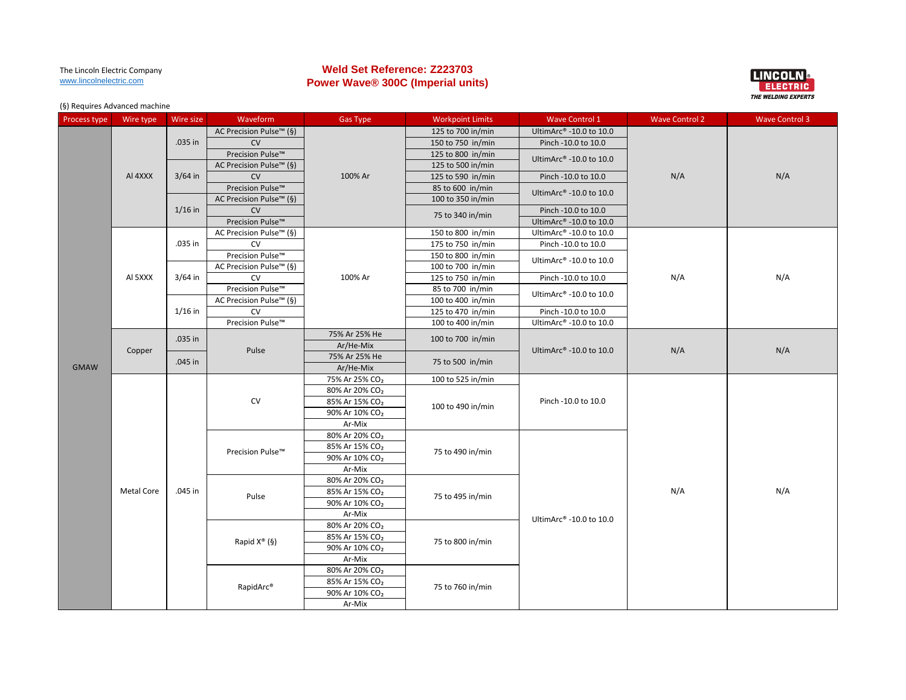# **Weld Set Reference: Z223703 Power Wave® 300C (Imperial units)**



| Process type | Wire type         | Wire size | Waveform                    | <b>Gas Type</b>            | <b>Workpoint Limits</b> | <b>Wave Control 1</b>               | <b>Wave Control 2</b> | <b>Wave Control 3</b> |
|--------------|-------------------|-----------|-----------------------------|----------------------------|-------------------------|-------------------------------------|-----------------------|-----------------------|
|              |                   |           | AC Precision Pulse™ (§)     |                            | 125 to 700 in/min       | UltimArc® -10.0 to 10.0             |                       |                       |
|              |                   | .035 in   | CV                          |                            | 150 to 750 in/min       | Pinch -10.0 to 10.0                 |                       |                       |
|              |                   |           | Precision Pulse™            |                            | 125 to 800 in/min       | UltimArc® -10.0 to 10.0             |                       |                       |
|              |                   |           | AC Precision Pulse™ (§)     |                            | 125 to 500 in/min       |                                     |                       |                       |
|              | AI 4XXX           | $3/64$ in | CV                          | 100% Ar                    | 125 to 590 in/min       | Pinch -10.0 to 10.0                 | N/A                   | N/A                   |
|              |                   |           | Precision Pulse™            |                            | 85 to 600 in/min        |                                     |                       |                       |
|              |                   |           | AC Precision Pulse™ (§)     |                            | 100 to 350 in/min       | UltimArc® -10.0 to 10.0             |                       |                       |
|              |                   | $1/16$ in | <b>CV</b>                   |                            | 75 to 340 in/min        | Pinch -10.0 to 10.0                 |                       |                       |
|              |                   |           | Precision Pulse™            |                            |                         | UltimArc® -10.0 to 10.0             |                       |                       |
|              |                   |           | AC Precision Pulse™ (§)     |                            | 150 to 800 in/min       | UltimArc® -10.0 to 10.0             |                       |                       |
|              |                   | .035 in   | CV                          |                            | 175 to 750 in/min       | Pinch -10.0 to 10.0                 |                       |                       |
|              |                   |           | Precision Pulse™            |                            | 150 to 800 in/min       |                                     |                       |                       |
|              |                   |           | AC Precision Pulse™ (§)     |                            | 100 to 700 in/min       | UltimArc® -10.0 to 10.0             |                       | N/A                   |
|              | AI 5XXX           | $3/64$ in | <b>CV</b>                   | 100% Ar                    | 125 to 750 in/min       | Pinch -10.0 to 10.0                 | N/A                   |                       |
|              | $1/16$ in         |           | Precision Pulse™            |                            | 85 to 700 in/min        | UltimArc® -10.0 to 10.0             |                       |                       |
|              |                   |           | AC Precision Pulse™ (§)     |                            | 100 to 400 in/min       |                                     |                       |                       |
|              |                   | CV        |                             | 125 to 470 in/min          | Pinch -10.0 to 10.0     |                                     |                       |                       |
|              |                   |           | Precision Pulse™            |                            | 100 to 400 in/min       | UltimArc® -10.0 to 10.0             |                       |                       |
|              |                   | .035 in   |                             | 75% Ar 25% He              | 100 to 700 in/min       | UltimArc® -10.0 to 10.0             |                       |                       |
|              | Copper            |           | Pulse                       | Ar/He-Mix                  |                         |                                     | N/A                   | N/A                   |
|              |                   | .045 in   |                             | 75% Ar 25% He              | 75 to 500 in/min        |                                     |                       |                       |
| <b>GMAW</b>  |                   |           |                             | Ar/He-Mix                  |                         |                                     |                       |                       |
|              |                   |           | CV                          | 75% Ar 25% CO <sub>2</sub> | 100 to 525 in/min       |                                     |                       |                       |
|              |                   |           |                             | 80% Ar 20% CO <sub>2</sub> | 100 to 490 in/min       |                                     |                       |                       |
|              |                   |           |                             | 85% Ar 15% CO <sub>2</sub> |                         | Pinch -10.0 to 10.0                 |                       |                       |
|              |                   |           |                             | 90% Ar 10% CO <sub>2</sub> |                         |                                     |                       |                       |
|              |                   |           | Ar-Mix                      |                            |                         |                                     |                       |                       |
|              |                   |           | Precision Pulse™            | 80% Ar 20% CO <sub>2</sub> |                         |                                     |                       |                       |
|              |                   |           |                             | 85% Ar 15% CO <sub>2</sub> | 75 to 490 in/min        |                                     |                       |                       |
|              |                   |           |                             | 90% Ar 10% CO <sub>2</sub> |                         |                                     |                       |                       |
|              |                   |           |                             | Ar-Mix                     |                         |                                     |                       |                       |
|              |                   |           |                             | 80% Ar 20% CO <sub>2</sub> |                         |                                     |                       |                       |
|              | <b>Metal Core</b> | .045 in   | Pulse                       | 85% Ar 15% CO <sub>2</sub> | 75 to 495 in/min        |                                     | N/A                   | N/A                   |
|              |                   |           |                             | 90% Ar 10% CO <sub>2</sub> |                         |                                     |                       |                       |
|              |                   |           |                             | Ar-Mix                     |                         | UltimArc <sup>®</sup> -10.0 to 10.0 |                       |                       |
|              |                   |           |                             | 80% Ar 20% CO <sub>2</sub> |                         |                                     |                       |                       |
|              |                   |           | Rapid $X^{\circledast}$ (§) | 85% Ar 15% CO <sub>2</sub> | 75 to 800 in/min        |                                     |                       |                       |
|              |                   |           |                             | 90% Ar 10% CO <sub>2</sub> |                         |                                     |                       |                       |
|              |                   |           |                             | Ar-Mix                     |                         |                                     |                       |                       |
|              |                   |           |                             | 80% Ar 20% CO <sub>2</sub> |                         |                                     |                       |                       |
|              |                   |           | RapidArc®                   | 85% Ar 15% CO <sub>2</sub> | 75 to 760 in/min        |                                     |                       |                       |
|              |                   |           |                             | 90% Ar 10% CO <sub>2</sub> |                         |                                     |                       |                       |
|              |                   |           |                             | Ar-Mix                     |                         |                                     |                       |                       |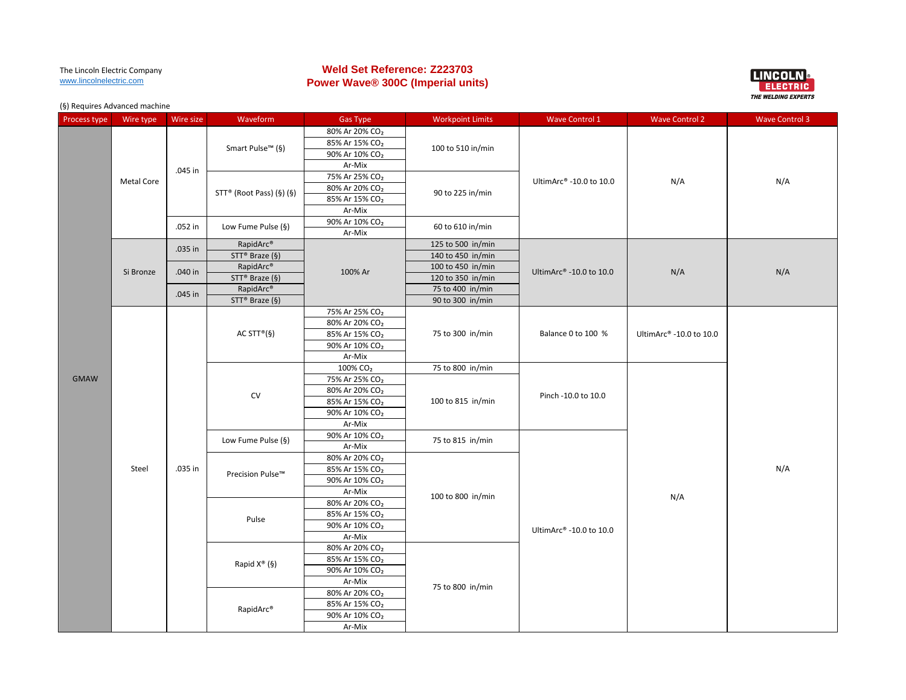# **Weld Set Reference: Z223703 Power Wave® 300C (Imperial units)**



| Process type | Wire type         | Wire size | Waveform                     | <b>Gas Type</b>            | <b>Workpoint Limits</b> | <b>Wave Control 1</b>               | <b>Wave Control 2</b>   | <b>Wave Control 3</b> |
|--------------|-------------------|-----------|------------------------------|----------------------------|-------------------------|-------------------------------------|-------------------------|-----------------------|
|              |                   |           |                              | 80% Ar 20% CO <sub>2</sub> |                         |                                     |                         |                       |
|              |                   |           |                              | 85% Ar 15% CO <sub>2</sub> |                         |                                     |                         |                       |
|              |                   |           | Smart Pulse <sup>™</sup> (§) | 90% Ar 10% CO <sub>2</sub> | 100 to 510 in/min       |                                     |                         |                       |
|              |                   |           |                              | Ar-Mix                     |                         |                                     |                         |                       |
|              |                   | .045 in   |                              | 75% Ar 25% CO <sub>2</sub> |                         |                                     |                         |                       |
|              | <b>Metal Core</b> |           |                              | 80% Ar 20% CO <sub>2</sub> |                         | UltimArc <sup>®</sup> -10.0 to 10.0 | N/A                     | N/A                   |
|              |                   |           | $STT^*$ (Root Pass) (§) (§)  | 85% Ar 15% CO <sub>2</sub> | 90 to 225 in/min        |                                     |                         |                       |
|              |                   |           |                              | Ar-Mix                     |                         |                                     |                         |                       |
|              |                   |           |                              | 90% Ar 10% CO <sub>2</sub> |                         |                                     |                         |                       |
|              |                   | .052 in   | Low Fume Pulse (§)           | Ar-Mix                     | 60 to 610 in/min        |                                     |                         |                       |
|              |                   |           | RapidArc <sup>®</sup>        | 100% Ar                    | 125 to 500 in/min       |                                     |                         |                       |
|              |                   | .035 in   | STT <sup>®</sup> Braze (§)   |                            | 140 to 450 in/min       |                                     |                         | N/A                   |
|              |                   |           | RapidArc <sup>®</sup>        |                            | 100 to 450 in/min       |                                     |                         |                       |
|              | Si Bronze         | .040 in   | $STT^*$ Braze (§)            |                            | 120 to 350 in/min       | UltimArc <sup>®</sup> -10.0 to 10.0 | N/A                     |                       |
|              |                   | .045 in   | RapidArc®                    |                            | 75 to 400 in/min        |                                     |                         |                       |
|              |                   |           | $STT^*$ Braze (§)            |                            | 90 to 300 in/min        |                                     |                         |                       |
|              |                   |           | 75% Ar 25% CO <sub>2</sub>   |                            |                         |                                     |                         |                       |
|              |                   |           | AC STT <sup>®</sup> (§)      | 80% Ar 20% CO <sub>2</sub> | 75 to 300 in/min        |                                     | UltimArc® -10.0 to 10.0 |                       |
|              |                   |           |                              | 85% Ar 15% CO <sub>2</sub> |                         | Balance 0 to 100 %                  |                         |                       |
|              |                   |           |                              | 90% Ar 10% CO <sub>2</sub> |                         |                                     |                         |                       |
|              |                   |           |                              | Ar-Mix                     |                         |                                     |                         |                       |
|              |                   |           | ${\sf CV}$                   | 100% CO <sub>2</sub>       | 75 to 800 in/min        |                                     |                         |                       |
| <b>GMAW</b>  |                   |           |                              | 75% Ar 25% CO <sub>2</sub> | 100 to 815 in/min       |                                     |                         |                       |
|              |                   |           |                              | 80% Ar 20% CO <sub>2</sub> |                         | Pinch -10.0 to 10.0                 |                         |                       |
|              |                   |           |                              | 85% Ar 15% CO <sub>2</sub> |                         |                                     |                         |                       |
|              |                   |           |                              | 90% Ar 10% CO <sub>2</sub> |                         |                                     |                         |                       |
|              |                   |           |                              | Ar-Mix                     |                         |                                     |                         |                       |
|              |                   |           | Low Fume Pulse (§)           | 90% Ar 10% CO <sub>2</sub> | 75 to 815 in/min        |                                     |                         |                       |
|              |                   |           |                              | Ar-Mix                     |                         |                                     |                         |                       |
|              |                   |           | Precision Pulse™             | 80% Ar 20% CO <sub>2</sub> |                         |                                     |                         |                       |
|              | Steel             | .035 in   |                              | 85% Ar 15% CO <sub>2</sub> |                         |                                     |                         | N/A                   |
|              |                   |           |                              | 90% Ar 10% CO <sub>2</sub> |                         |                                     |                         |                       |
|              |                   |           |                              | Ar-Mix                     | 100 to 800 in/min       |                                     | N/A                     |                       |
|              |                   |           |                              | 80% Ar 20% CO <sub>2</sub> |                         |                                     |                         |                       |
|              |                   |           | Pulse                        | 85% Ar 15% CO <sub>2</sub> |                         |                                     |                         |                       |
|              |                   |           |                              | 90% Ar 10% CO <sub>2</sub> |                         | UltimArc® -10.0 to 10.0             |                         |                       |
|              |                   |           |                              | Ar-Mix                     |                         |                                     |                         |                       |
|              |                   |           |                              | 80% Ar 20% CO <sub>2</sub> |                         |                                     |                         |                       |
|              |                   |           | Rapid $X^{\circledast}$ (§)  | 85% Ar 15% CO <sub>2</sub> |                         |                                     |                         |                       |
|              |                   |           |                              | 90% Ar 10% CO <sub>2</sub> |                         |                                     |                         |                       |
|              |                   |           |                              | Ar-Mix                     | 75 to 800 in/min        |                                     |                         |                       |
|              |                   |           |                              | 80% Ar 20% CO <sub>2</sub> |                         |                                     |                         |                       |
|              |                   |           | RapidArc®                    | 85% Ar 15% CO <sub>2</sub> |                         |                                     |                         |                       |
|              |                   |           |                              | 90% Ar 10% CO <sub>2</sub> |                         |                                     |                         |                       |
|              |                   |           |                              | Ar-Mix                     |                         |                                     |                         |                       |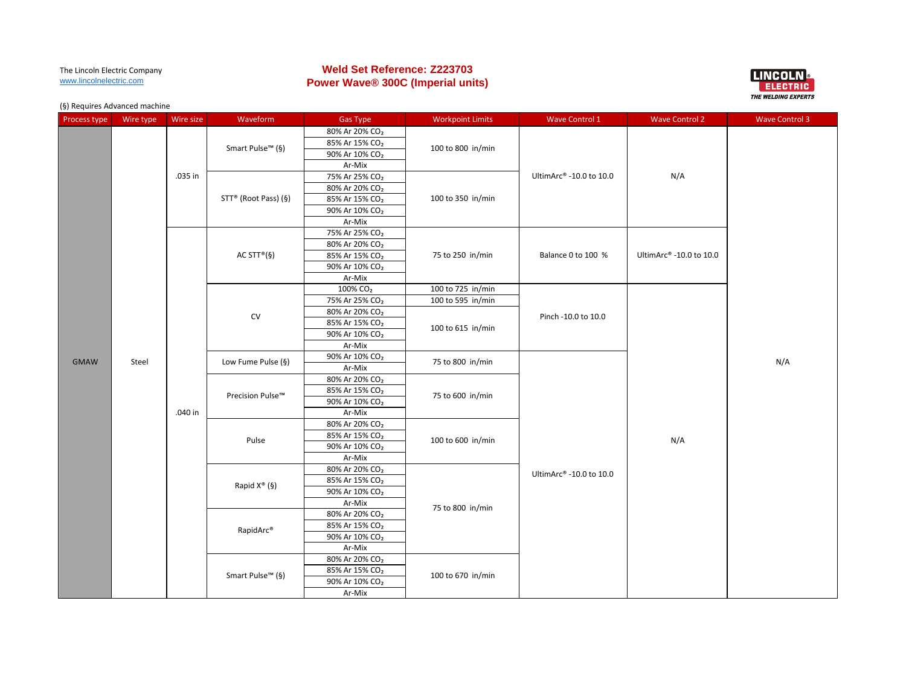# **Weld Set Reference: Z223703 Power Wave® 300C (Imperial units)**



| Process type | Wire type | Wire size            | Waveform                     | <b>Gas Type</b>                      | <b>Workpoint Limits</b> | <b>Wave Control 1</b>     | <b>Wave Control 2</b>   | <b>Wave Control 3</b> |
|--------------|-----------|----------------------|------------------------------|--------------------------------------|-------------------------|---------------------------|-------------------------|-----------------------|
|              |           |                      |                              | 80% Ar 20% CO <sub>2</sub>           |                         |                           |                         |                       |
|              |           |                      | Smart Pulse <sup>™</sup> (§) | 85% Ar 15% CO <sub>2</sub>           | 100 to 800 in/min       |                           |                         |                       |
|              |           |                      |                              | 90% Ar 10% CO <sub>2</sub>           |                         |                           |                         |                       |
|              |           |                      |                              | Ar-Mix                               |                         |                           |                         |                       |
|              |           | .035 in              |                              | 75% Ar 25% CO <sub>2</sub>           |                         | UltimArc® -10.0 to 10.0   | N/A                     |                       |
|              |           |                      |                              | 80% Ar 20% CO <sub>2</sub>           |                         |                           |                         |                       |
|              |           | STT® (Root Pass) (§) | 85% Ar 15% CO <sub>2</sub>   | 100 to 350 in/min                    |                         |                           |                         |                       |
|              |           |                      |                              | 90% Ar 10% CO <sub>2</sub>           |                         |                           |                         |                       |
|              |           |                      |                              | Ar-Mix                               |                         |                           |                         |                       |
|              |           |                      |                              | 75% Ar 25% CO <sub>2</sub>           |                         |                           |                         |                       |
|              |           |                      |                              | 80% Ar 20% CO <sub>2</sub>           |                         |                           |                         |                       |
|              |           |                      | AC STT <sup>®</sup> (§)      | 85% Ar 15% CO <sub>2</sub>           | 75 to 250 in/min        | Balance 0 to 100 %        | UltimArc® -10.0 to 10.0 |                       |
|              |           |                      |                              | 90% Ar 10% CO <sub>2</sub>           |                         |                           |                         |                       |
|              |           |                      |                              | Ar-Mix                               |                         |                           |                         |                       |
|              |           |                      |                              | 100% CO <sub>2</sub>                 | 100 to 725 in/min       |                           |                         |                       |
|              |           |                      |                              | 75% Ar 25% CO <sub>2</sub>           | 100 to 595 in/min       |                           |                         |                       |
|              |           |                      | <b>CV</b>                    | 80% Ar 20% CO <sub>2</sub>           |                         | Pinch -10.0 to 10.0       |                         |                       |
|              |           |                      |                              | 85% Ar 15% CO <sub>2</sub>           | 100 to 615 in/min       |                           |                         |                       |
|              |           |                      |                              | 90% Ar 10% CO <sub>2</sub>           |                         |                           |                         |                       |
|              |           |                      |                              | Ar-Mix                               |                         |                           |                         |                       |
| <b>GMAW</b>  | Steel     |                      | Low Fume Pulse (§)           | 90% Ar 10% CO <sub>2</sub>           | 75 to 800 in/min        |                           |                         | N/A                   |
|              |           |                      |                              | Ar-Mix                               |                         |                           |                         |                       |
|              |           |                      | Precision Pulse™             | 80% Ar 20% CO <sub>2</sub>           |                         |                           |                         |                       |
|              |           |                      |                              | 85% Ar 15% CO <sub>2</sub>           | 75 to 600 in/min        |                           |                         |                       |
|              |           |                      |                              | 90% Ar 10% CO <sub>2</sub>           |                         |                           |                         |                       |
|              |           | .040 in              |                              | Ar-Mix                               |                         |                           |                         |                       |
|              |           |                      | Pulse                        | 80% Ar 20% CO <sub>2</sub>           |                         |                           | N/A                     |                       |
|              |           |                      |                              | 85% Ar 15% CO <sub>2</sub>           | 100 to 600 in/min       |                           |                         |                       |
|              |           |                      |                              | 90% Ar 10% CO <sub>2</sub>           |                         |                           |                         |                       |
|              |           |                      |                              | Ar-Mix                               |                         |                           |                         |                       |
|              |           |                      |                              | 80% Ar 20% CO <sub>2</sub>           |                         | UltimArc® -10.0 to $10.0$ |                         |                       |
|              |           |                      | Rapid $X^{\circ}(\S)$        | 85% Ar 15% CO <sub>2</sub>           |                         |                           |                         |                       |
|              |           |                      |                              | 90% Ar 10% CO <sub>2</sub>           |                         |                           |                         |                       |
|              |           |                      |                              | Ar-Mix                               | 75 to 800 in/min        |                           |                         |                       |
|              |           |                      |                              | 80% Ar 20% CO <sub>2</sub>           |                         |                           |                         |                       |
|              |           |                      | RapidArc®                    | 85% Ar 15% CO <sub>2</sub>           |                         |                           |                         |                       |
|              |           |                      |                              | 90% Ar 10% CO <sub>2</sub><br>Ar-Mix |                         |                           |                         |                       |
|              |           |                      |                              | 80% Ar 20% CO <sub>2</sub>           |                         |                           |                         |                       |
|              |           |                      |                              | 85% Ar 15% CO <sub>2</sub>           |                         |                           |                         |                       |
|              |           |                      | Smart Pulse <sup>™</sup> (§) | 90% Ar 10% CO <sub>2</sub>           | 100 to 670 in/min       |                           |                         |                       |
|              |           |                      |                              | Ar-Mix                               |                         |                           |                         |                       |
|              |           |                      |                              |                                      |                         |                           |                         |                       |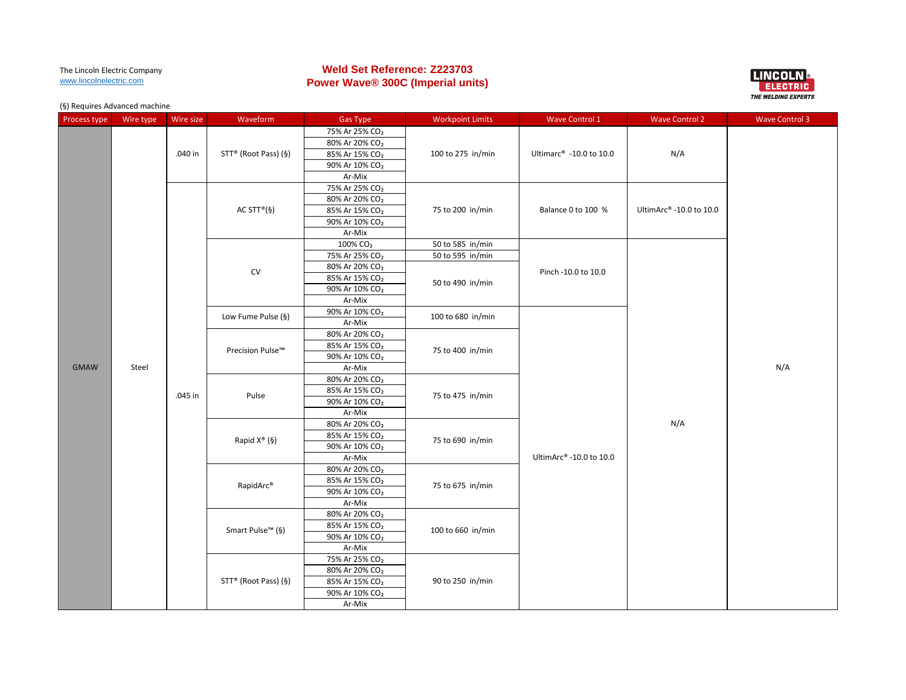# **Weld Set Reference: Z223703 Power Wave® 300C (Imperial units)**



| Process type | Wire type | Wire size | Waveform                                                                                        | <b>Gas Type</b>                     | <b>Workpoint Limits</b> | Wave Control 1                      | <b>Wave Control 2</b> | <b>Wave Control 3</b> |
|--------------|-----------|-----------|-------------------------------------------------------------------------------------------------|-------------------------------------|-------------------------|-------------------------------------|-----------------------|-----------------------|
|              |           |           |                                                                                                 | 75% Ar 25% CO <sub>2</sub>          |                         |                                     |                       |                       |
|              |           |           |                                                                                                 | 80% Ar 20% CO <sub>2</sub>          |                         |                                     |                       |                       |
|              |           | .040 in   | STT® (Root Pass) (§)                                                                            | 85% Ar 15% CO <sub>2</sub>          | 100 to 275 in/min       | Ultimarc <sup>®</sup> -10.0 to 10.0 | N/A                   |                       |
|              |           |           |                                                                                                 | 90% Ar 10% CO <sub>2</sub>          |                         |                                     |                       |                       |
|              |           |           |                                                                                                 | Ar-Mix                              |                         |                                     |                       |                       |
|              |           |           |                                                                                                 | 75% Ar 25% CO <sub>2</sub>          |                         |                                     |                       |                       |
|              |           |           |                                                                                                 | 80% Ar 20% CO <sub>2</sub>          |                         |                                     |                       |                       |
|              |           |           | AC STT <sup>®</sup> (§)<br>75 to 200 in/min<br>Balance 0 to 100 %<br>85% Ar 15% CO <sub>2</sub> | UltimArc <sup>®</sup> -10.0 to 10.0 |                         |                                     |                       |                       |
|              |           |           |                                                                                                 | 90% Ar 10% CO <sub>2</sub>          |                         |                                     |                       |                       |
|              |           |           |                                                                                                 | Ar-Mix                              |                         |                                     |                       |                       |
|              |           |           |                                                                                                 | 100% CO <sub>2</sub>                | 50 to 585 in/min        |                                     |                       |                       |
|              |           |           |                                                                                                 | 75% Ar 25% CO <sub>2</sub>          | 50 to 595 in/min        |                                     |                       |                       |
|              |           |           | CV                                                                                              | 80% Ar 20% CO <sub>2</sub>          |                         | Pinch -10.0 to 10.0                 |                       |                       |
|              |           |           |                                                                                                 | 85% Ar 15% CO <sub>2</sub>          | 50 to 490 in/min        |                                     |                       |                       |
|              |           |           |                                                                                                 | 90% Ar 10% CO <sub>2</sub>          |                         |                                     |                       | N/A                   |
| <b>GMAW</b>  |           |           |                                                                                                 | Ar-Mix                              |                         |                                     |                       |                       |
|              |           |           | Low Fume Pulse (§)                                                                              | 90% Ar 10% CO <sub>2</sub>          | 100 to 680 in/min       |                                     |                       |                       |
|              |           |           |                                                                                                 | Ar-Mix                              |                         |                                     |                       |                       |
|              |           |           |                                                                                                 | 80% Ar 20% CO <sub>2</sub>          |                         |                                     |                       |                       |
|              |           |           | Precision Pulse™                                                                                | 85% Ar 15% CO <sub>2</sub>          | 75 to 400 in/min        |                                     |                       |                       |
|              |           |           |                                                                                                 | 90% Ar 10% CO <sub>2</sub>          |                         |                                     |                       |                       |
|              | Steel     | .045 in   |                                                                                                 | Ar-Mix                              |                         |                                     |                       |                       |
|              |           |           | Pulse                                                                                           | 80% Ar 20% CO <sub>2</sub>          | 75 to 475 in/min        |                                     |                       |                       |
|              |           |           |                                                                                                 | 85% Ar 15% CO <sub>2</sub>          |                         |                                     |                       |                       |
|              |           |           |                                                                                                 | 90% Ar 10% CO <sub>2</sub>          |                         |                                     |                       |                       |
|              |           |           |                                                                                                 | Ar-Mix                              |                         |                                     |                       |                       |
|              |           |           |                                                                                                 | 80% Ar 20% CO <sub>2</sub>          |                         |                                     | N/A                   |                       |
|              |           |           | Rapid $X^{\circledast}$ (§)                                                                     | 85% Ar 15% CO <sub>2</sub>          | 75 to 690 in/min        |                                     |                       |                       |
|              |           |           |                                                                                                 | 90% Ar 10% CO <sub>2</sub>          |                         |                                     |                       |                       |
|              |           |           |                                                                                                 | Ar-Mix                              |                         | UltimArc® -10.0 to 10.0             |                       |                       |
|              |           |           |                                                                                                 | 80% Ar 20% CO <sub>2</sub>          |                         |                                     |                       |                       |
|              |           |           | RapidArc®                                                                                       | 85% Ar 15% CO <sub>2</sub>          | 75 to 675 in/min        |                                     |                       |                       |
|              |           |           |                                                                                                 | 90% Ar 10% CO <sub>2</sub>          |                         |                                     |                       |                       |
|              |           |           |                                                                                                 | Ar-Mix                              |                         |                                     |                       |                       |
|              |           |           |                                                                                                 | 80% Ar 20% CO <sub>2</sub>          |                         |                                     |                       |                       |
|              |           |           | Smart Pulse <sup>™</sup> (§)                                                                    | 85% Ar 15% CO <sub>2</sub>          | 100 to 660 in/min       |                                     |                       |                       |
|              |           |           |                                                                                                 | 90% Ar 10% CO <sub>2</sub>          |                         |                                     |                       |                       |
|              |           |           |                                                                                                 | Ar-Mix                              |                         |                                     |                       |                       |
|              |           |           |                                                                                                 | 75% Ar 25% CO <sub>2</sub>          |                         |                                     |                       |                       |
|              |           |           |                                                                                                 | 80% Ar 20% CO <sub>2</sub>          |                         |                                     |                       |                       |
|              |           |           | STT® (Root Pass) (§)                                                                            | 85% Ar 15% CO <sub>2</sub>          | 90 to 250 in/min        |                                     |                       |                       |
|              |           |           |                                                                                                 | 90% Ar 10% CO <sub>2</sub>          |                         |                                     |                       |                       |
|              |           |           |                                                                                                 | Ar-Mix                              |                         |                                     |                       |                       |